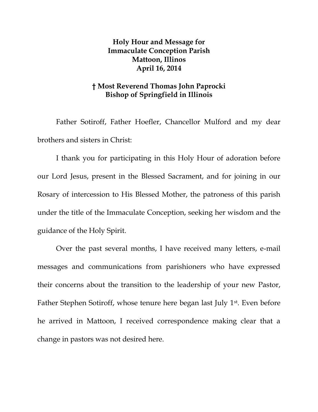## **Holy Hour and Message for Immaculate Conception Parish Mattoon, Illinos April 16, 2014**

## **† Most Reverend Thomas John Paprocki Bishop of Springfield in Illinois**

Father Sotiroff, Father Hoefler, Chancellor Mulford and my dear brothers and sisters in Christ:

I thank you for participating in this Holy Hour of adoration before our Lord Jesus, present in the Blessed Sacrament, and for joining in our Rosary of intercession to His Blessed Mother, the patroness of this parish under the title of the Immaculate Conception, seeking her wisdom and the guidance of the Holy Spirit.

Over the past several months, I have received many letters, e-mail messages and communications from parishioners who have expressed their concerns about the transition to the leadership of your new Pastor, Father Stephen Sotiroff, whose tenure here began last July 1st . Even before he arrived in Mattoon, I received correspondence making clear that a change in pastors was not desired here.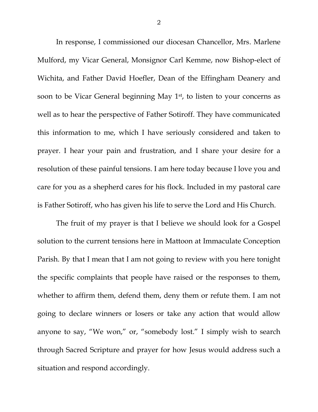In response, I commissioned our diocesan Chancellor, Mrs. Marlene Mulford, my Vicar General, Monsignor Carl Kemme, now Bishop-elect of Wichita, and Father David Hoefler, Dean of the Effingham Deanery and soon to be Vicar General beginning May 1<sup>st</sup>, to listen to your concerns as well as to hear the perspective of Father Sotiroff. They have communicated this information to me, which I have seriously considered and taken to prayer. I hear your pain and frustration, and I share your desire for a resolution of these painful tensions. I am here today because I love you and care for you as a shepherd cares for his flock. Included in my pastoral care is Father Sotiroff, who has given his life to serve the Lord and His Church.

The fruit of my prayer is that I believe we should look for a Gospel solution to the current tensions here in Mattoon at Immaculate Conception Parish. By that I mean that I am not going to review with you here tonight the specific complaints that people have raised or the responses to them, whether to affirm them, defend them, deny them or refute them. I am not going to declare winners or losers or take any action that would allow anyone to say, "We won," or, "somebody lost." I simply wish to search through Sacred Scripture and prayer for how Jesus would address such a situation and respond accordingly.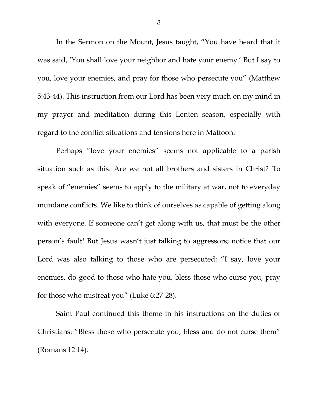In the Sermon on the Mount, Jesus taught, "You have heard that it was said, 'You shall love your neighbor and hate your enemy.' But I say to you, love your enemies, and pray for those who persecute you" (Matthew 5:43-44). This instruction from our Lord has been very much on my mind in my prayer and meditation during this Lenten season, especially with regard to the conflict situations and tensions here in Mattoon.

Perhaps "love your enemies" seems not applicable to a parish situation such as this. Are we not all brothers and sisters in Christ? To speak of "enemies" seems to apply to the military at war, not to everyday mundane conflicts. We like to think of ourselves as capable of getting along with everyone. If someone can't get along with us, that must be the other person's fault! But Jesus wasn't just talking to aggressors; notice that our Lord was also talking to those who are persecuted: "I say, love your enemies, do good to those who hate you, bless those who curse you, pray for those who mistreat you" (Luke 6:27-28).

Saint Paul continued this theme in his instructions on the duties of Christians: "Bless those who persecute you, bless and do not curse them" (Romans 12:14).

3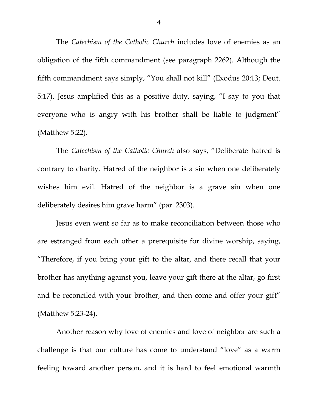The *Catechism of the Catholic Church* includes love of enemies as an obligation of the fifth commandment (see paragraph 2262). Although the fifth commandment says simply, "You shall not kill" (Exodus 20:13; Deut. 5:17), Jesus amplified this as a positive duty, saying, "I say to you that everyone who is angry with his brother shall be liable to judgment" (Matthew 5:22).

The *Catechism of the Catholic Church* also says, "Deliberate hatred is contrary to charity. Hatred of the neighbor is a sin when one deliberately wishes him evil. Hatred of the neighbor is a grave sin when one deliberately desires him grave harm" (par. 2303).

Jesus even went so far as to make reconciliation between those who are estranged from each other a prerequisite for divine worship, saying, "Therefore, if you bring your gift to the altar, and there recall that your brother has anything against you, leave your gift there at the altar, go first and be reconciled with your brother, and then come and offer your gift" (Matthew 5:23-24).

Another reason why love of enemies and love of neighbor are such a challenge is that our culture has come to understand "love" as a warm feeling toward another person, and it is hard to feel emotional warmth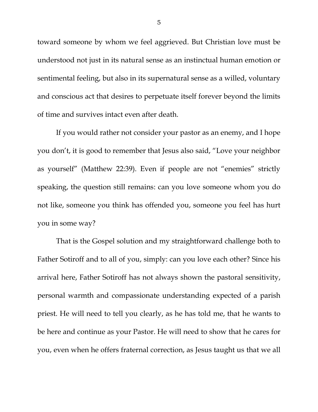toward someone by whom we feel aggrieved. But Christian love must be understood not just in its natural sense as an instinctual human emotion or sentimental feeling, but also in its supernatural sense as a willed, voluntary and conscious act that desires to perpetuate itself forever beyond the limits of time and survives intact even after death.

If you would rather not consider your pastor as an enemy, and I hope you don't, it is good to remember that Jesus also said, "Love your neighbor as yourself" (Matthew 22:39). Even if people are not "enemies" strictly speaking, the question still remains: can you love someone whom you do not like, someone you think has offended you, someone you feel has hurt you in some way?

That is the Gospel solution and my straightforward challenge both to Father Sotiroff and to all of you, simply: can you love each other? Since his arrival here, Father Sotiroff has not always shown the pastoral sensitivity, personal warmth and compassionate understanding expected of a parish priest. He will need to tell you clearly, as he has told me, that he wants to be here and continue as your Pastor. He will need to show that he cares for you, even when he offers fraternal correction, as Jesus taught us that we all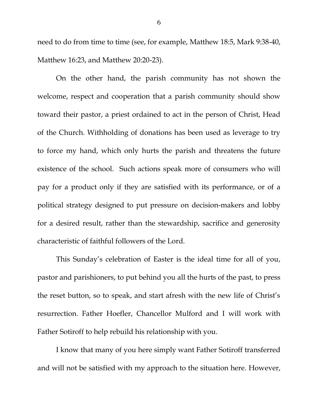need to do from time to time (see, for example, Matthew 18:5, Mark 9:38-40, Matthew 16:23, and Matthew 20:20-23).

On the other hand, the parish community has not shown the welcome, respect and cooperation that a parish community should show toward their pastor, a priest ordained to act in the person of Christ, Head of the Church. Withholding of donations has been used as leverage to try to force my hand, which only hurts the parish and threatens the future existence of the school. Such actions speak more of consumers who will pay for a product only if they are satisfied with its performance, or of a political strategy designed to put pressure on decision-makers and lobby for a desired result, rather than the stewardship, sacrifice and generosity characteristic of faithful followers of the Lord.

This Sunday's celebration of Easter is the ideal time for all of you, pastor and parishioners, to put behind you all the hurts of the past, to press the reset button, so to speak, and start afresh with the new life of Christ's resurrection. Father Hoefler, Chancellor Mulford and I will work with Father Sotiroff to help rebuild his relationship with you.

I know that many of you here simply want Father Sotiroff transferred and will not be satisfied with my approach to the situation here. However,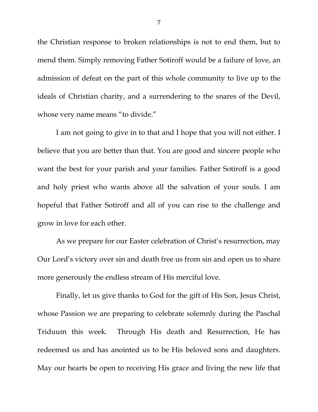the Christian response to broken relationships is not to end them, but to mend them. Simply removing Father Sotiroff would be a failure of love, an admission of defeat on the part of this whole community to live up to the ideals of Christian charity, and a surrendering to the snares of the Devil, whose very name means "to divide."

I am not going to give in to that and I hope that you will not either. I believe that you are better than that. You are good and sincere people who want the best for your parish and your families. Father Sotiroff is a good and holy priest who wants above all the salvation of your souls. I am hopeful that Father Sotiroff and all of you can rise to the challenge and grow in love for each other.

As we prepare for our Easter celebration of Christ's resurrection, may Our Lord's victory over sin and death free us from sin and open us to share more generously the endless stream of His merciful love.

Finally, let us give thanks to God for the gift of His Son, Jesus Christ, whose Passion we are preparing to celebrate solemnly during the Paschal Triduum this week. Through His death and Resurrection, He has redeemed us and has anointed us to be His beloved sons and daughters. May our hearts be open to receiving His grace and living the new life that